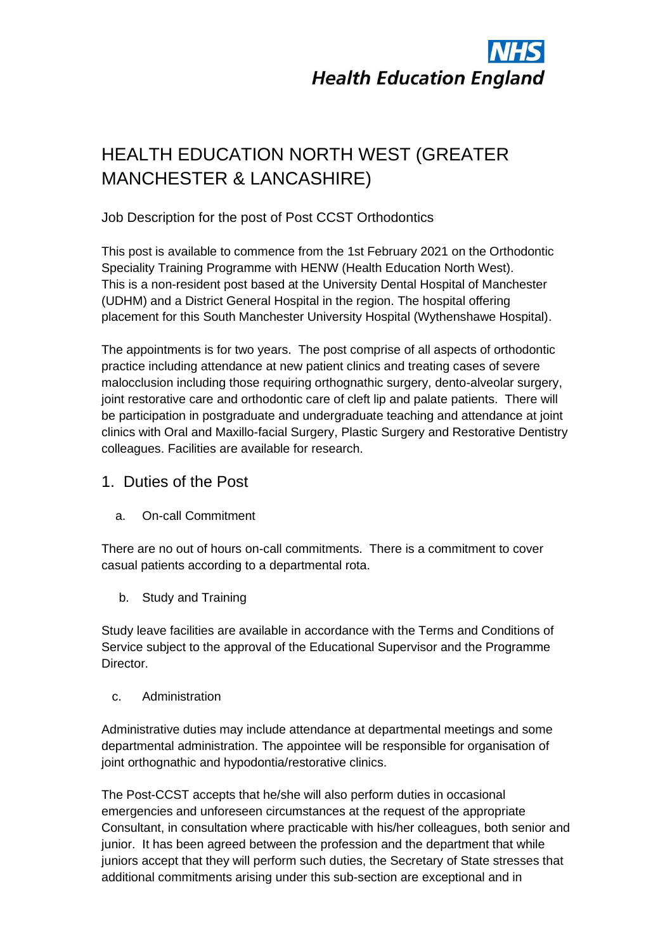## **Health Education England**

## HEALTH EDUCATION NORTH WEST (GREATER MANCHESTER & LANCASHIRE)

### Job Description for the post of Post CCST Orthodontics

This post is available to commence from the 1st February 2021 on the Orthodontic Speciality Training Programme with HENW (Health Education North West). This is a non-resident post based at the University Dental Hospital of Manchester (UDHM) and a District General Hospital in the region. The hospital offering placement for this South Manchester University Hospital (Wythenshawe Hospital).

The appointments is for two years. The post comprise of all aspects of orthodontic practice including attendance at new patient clinics and treating cases of severe malocclusion including those requiring orthognathic surgery, dento-alveolar surgery, joint restorative care and orthodontic care of cleft lip and palate patients. There will be participation in postgraduate and undergraduate teaching and attendance at joint clinics with Oral and Maxillo-facial Surgery, Plastic Surgery and Restorative Dentistry colleagues. Facilities are available for research.

## 1. Duties of the Post

a. On-call Commitment

There are no out of hours on-call commitments. There is a commitment to cover casual patients according to a departmental rota.

b. Study and Training

Study leave facilities are available in accordance with the Terms and Conditions of Service subject to the approval of the Educational Supervisor and the Programme Director.

### c. Administration

Administrative duties may include attendance at departmental meetings and some departmental administration. The appointee will be responsible for organisation of joint orthognathic and hypodontia/restorative clinics.

The Post-CCST accepts that he/she will also perform duties in occasional emergencies and unforeseen circumstances at the request of the appropriate Consultant, in consultation where practicable with his/her colleagues, both senior and junior. It has been agreed between the profession and the department that while juniors accept that they will perform such duties, the Secretary of State stresses that additional commitments arising under this sub-section are exceptional and in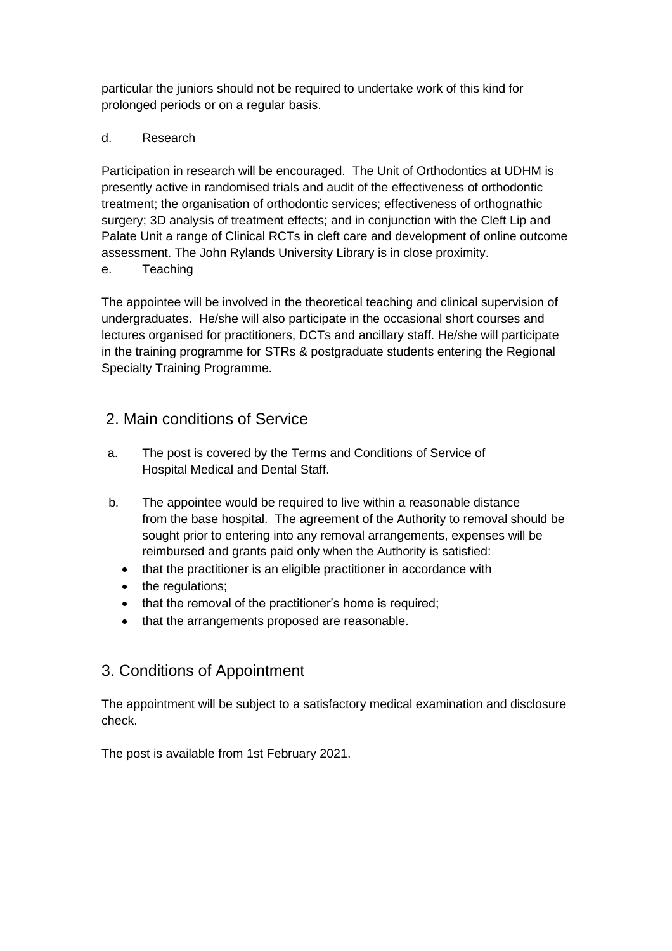particular the juniors should not be required to undertake work of this kind for prolonged periods or on a regular basis.

### d. Research

Participation in research will be encouraged. The Unit of Orthodontics at UDHM is presently active in randomised trials and audit of the effectiveness of orthodontic treatment; the organisation of orthodontic services; effectiveness of orthognathic surgery; 3D analysis of treatment effects; and in conjunction with the Cleft Lip and Palate Unit a range of Clinical RCTs in cleft care and development of online outcome assessment. The John Rylands University Library is in close proximity. e. Teaching

The appointee will be involved in the theoretical teaching and clinical supervision of undergraduates. He/she will also participate in the occasional short courses and lectures organised for practitioners, DCTs and ancillary staff. He/she will participate in the training programme for STRs & postgraduate students entering the Regional Specialty Training Programme.

## 2. Main conditions of Service

- a. The post is covered by the Terms and Conditions of Service of Hospital Medical and Dental Staff.
- b. The appointee would be required to live within a reasonable distance from the base hospital. The agreement of the Authority to removal should be sought prior to entering into any removal arrangements, expenses will be reimbursed and grants paid only when the Authority is satisfied:
	- that the practitioner is an eligible practitioner in accordance with
	- the regulations;
	- that the removal of the practitioner's home is required;
	- that the arrangements proposed are reasonable.

## 3. Conditions of Appointment

The appointment will be subject to a satisfactory medical examination and disclosure check.

The post is available from 1st February 2021.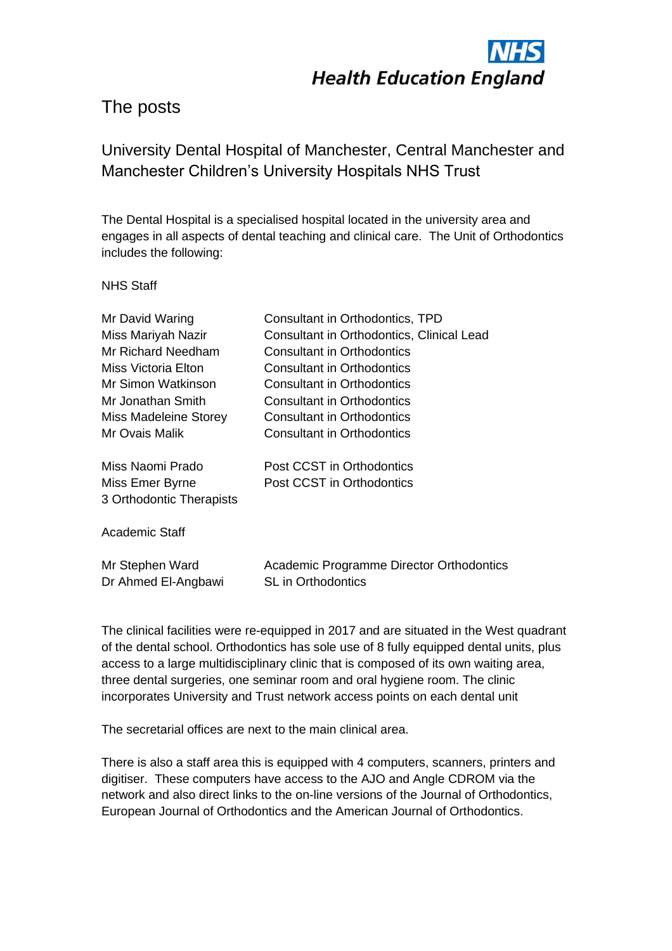

## The posts

## University Dental Hospital of Manchester, Central Manchester and Manchester Children's University Hospitals NHS Trust

The Dental Hospital is a specialised hospital located in the university area and engages in all aspects of dental teaching and clinical care. The Unit of Orthodontics includes the following:

NHS Staff

| Mr David Waring                        | Consultant in Orthodontics, TPD                                       |
|----------------------------------------|-----------------------------------------------------------------------|
| Miss Mariyah Nazir                     | Consultant in Orthodontics, Clinical Lead                             |
| Mr Richard Needham                     | <b>Consultant in Orthodontics</b>                                     |
| Miss Victoria Elton                    | Consultant in Orthodontics                                            |
| Mr Simon Watkinson                     | Consultant in Orthodontics                                            |
| Mr Jonathan Smith                      | Consultant in Orthodontics                                            |
| Miss Madeleine Storey                  | Consultant in Orthodontics                                            |
| Mr Ovais Malik                         | <b>Consultant in Orthodontics</b>                                     |
| Miss Naomi Prado                       | Post CCST in Orthodontics                                             |
| Miss Emer Byrne                        | Post CCST in Orthodontics                                             |
| 3 Orthodontic Therapists               |                                                                       |
| Academic Staff                         |                                                                       |
| Mr Stephen Ward<br>Dr Ahmed El-Angbawi | Academic Programme Director Orthodontics<br><b>SL</b> in Orthodontics |

The clinical facilities were re-equipped in 2017 and are situated in the West quadrant of the dental school. Orthodontics has sole use of 8 fully equipped dental units, plus access to a large multidisciplinary clinic that is composed of its own waiting area, three dental surgeries, one seminar room and oral hygiene room. The clinic incorporates University and Trust network access points on each dental unit

The secretarial offices are next to the main clinical area.

There is also a staff area this is equipped with 4 computers, scanners, printers and digitiser. These computers have access to the AJO and Angle CDROM via the network and also direct links to the on-line versions of the Journal of Orthodontics, European Journal of Orthodontics and the American Journal of Orthodontics.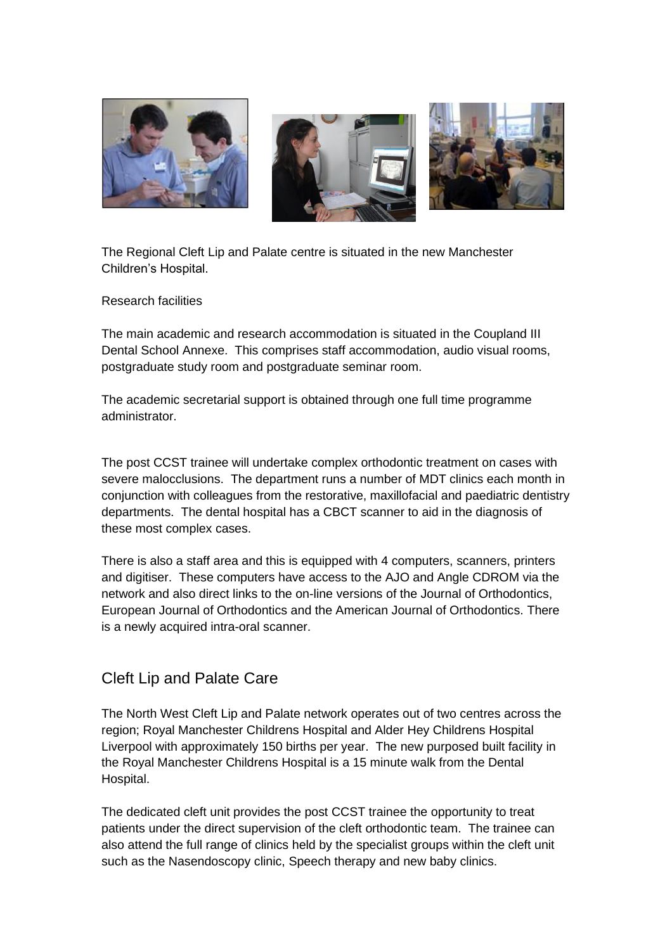

The Regional Cleft Lip and Palate centre is situated in the new Manchester Children's Hospital.

Research facilities

The main academic and research accommodation is situated in the Coupland III Dental School Annexe. This comprises staff accommodation, audio visual rooms, postgraduate study room and postgraduate seminar room.

The academic secretarial support is obtained through one full time programme administrator.

The post CCST trainee will undertake complex orthodontic treatment on cases with severe malocclusions. The department runs a number of MDT clinics each month in conjunction with colleagues from the restorative, maxillofacial and paediatric dentistry departments. The dental hospital has a CBCT scanner to aid in the diagnosis of these most complex cases.

There is also a staff area and this is equipped with 4 computers, scanners, printers and digitiser. These computers have access to the AJO and Angle CDROM via the network and also direct links to the on-line versions of the Journal of Orthodontics, European Journal of Orthodontics and the American Journal of Orthodontics. There is a newly acquired intra-oral scanner.

## Cleft Lip and Palate Care

The North West Cleft Lip and Palate network operates out of two centres across the region; Royal Manchester Childrens Hospital and Alder Hey Childrens Hospital Liverpool with approximately 150 births per year. The new purposed built facility in the Royal Manchester Childrens Hospital is a 15 minute walk from the Dental Hospital.

The dedicated cleft unit provides the post CCST trainee the opportunity to treat patients under the direct supervision of the cleft orthodontic team. The trainee can also attend the full range of clinics held by the specialist groups within the cleft unit such as the Nasendoscopy clinic, Speech therapy and new baby clinics.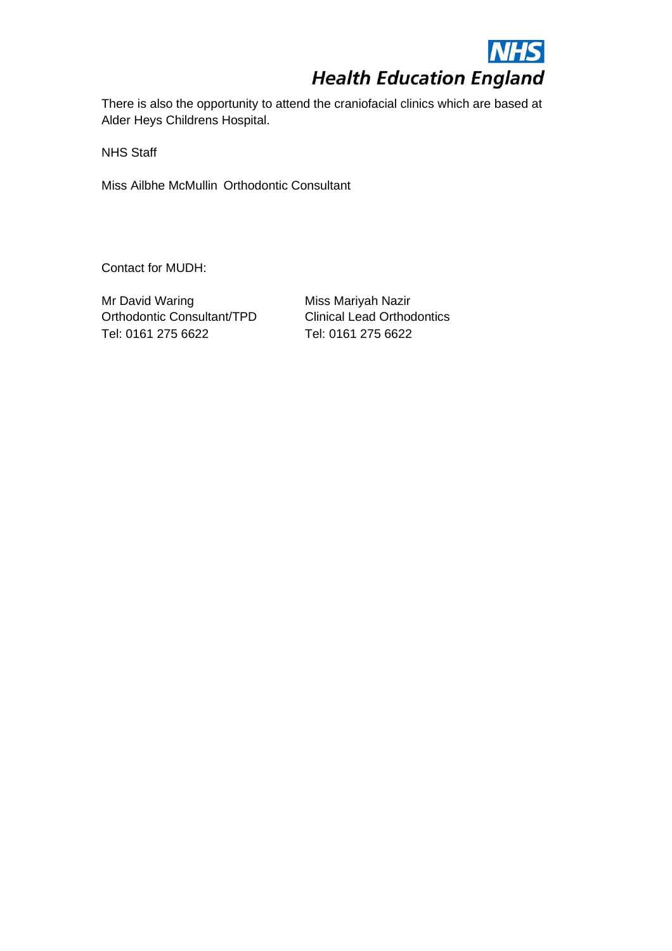## **NI IS Health Education England**

 $\overline{a}$ There is also the opportunity to attend the craniofacial clinics which are based at Alder Heys Childrens Hospital.

NHS Staff

Miss Ailbhe McMullin Orthodontic Consultant

Contact for MUDH:

Mr David Waring **Miss Mariyah Nazir** Miss Mariyah Nazir Orthodontic Consultant/TPD Clinical Lead Orthodontics Tel: 0161 275 6622 Tel: 0161 275 6622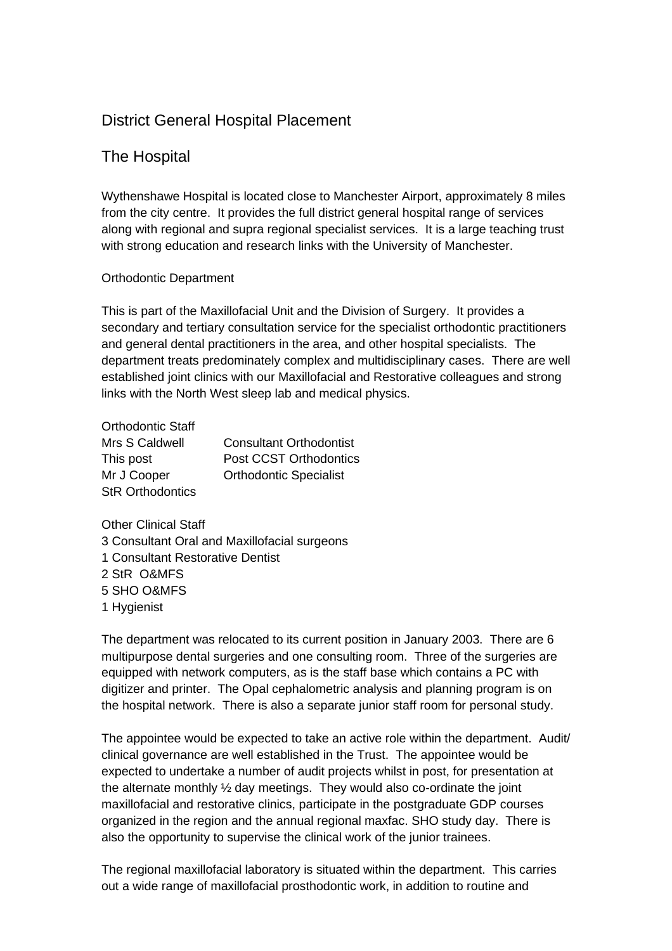## District General Hospital Placement

## The Hospital

Wythenshawe Hospital is located close to Manchester Airport, approximately 8 miles from the city centre. It provides the full district general hospital range of services along with regional and supra regional specialist services. It is a large teaching trust with strong education and research links with the University of Manchester.

#### Orthodontic Department

This is part of the Maxillofacial Unit and the Division of Surgery. It provides a secondary and tertiary consultation service for the specialist orthodontic practitioners and general dental practitioners in the area, and other hospital specialists. The department treats predominately complex and multidisciplinary cases. There are well established joint clinics with our Maxillofacial and Restorative colleagues and strong links with the North West sleep lab and medical physics.

| <b>Orthodontic Staff</b> |                                |
|--------------------------|--------------------------------|
| Mrs S Caldwell           | <b>Consultant Orthodontist</b> |
| This post                | Post CCST Orthodontics         |
| Mr J Cooper              | <b>Orthodontic Specialist</b>  |
| <b>StR Orthodontics</b>  |                                |

Other Clinical Staff 3 Consultant Oral and Maxillofacial surgeons 1 Consultant Restorative Dentist 2 StR O&MFS 5 SHO O&MFS 1 Hygienist

The department was relocated to its current position in January 2003. There are 6 multipurpose dental surgeries and one consulting room. Three of the surgeries are equipped with network computers, as is the staff base which contains a PC with digitizer and printer. The Opal cephalometric analysis and planning program is on the hospital network. There is also a separate junior staff room for personal study.

The appointee would be expected to take an active role within the department. Audit/ clinical governance are well established in the Trust. The appointee would be expected to undertake a number of audit projects whilst in post, for presentation at the alternate monthly ½ day meetings. They would also co-ordinate the joint maxillofacial and restorative clinics, participate in the postgraduate GDP courses organized in the region and the annual regional maxfac. SHO study day. There is also the opportunity to supervise the clinical work of the junior trainees.

The regional maxillofacial laboratory is situated within the department. This carries out a wide range of maxillofacial prosthodontic work, in addition to routine and